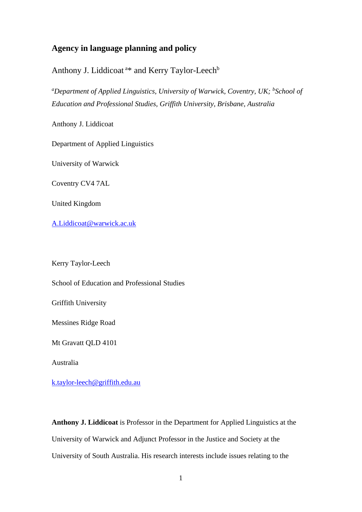## **Agency in language planning and policy**

Anthony J. Liddicoat<sup>a\*</sup> and Kerry Taylor-Leech<sup>b</sup>

*<sup>a</sup>Department of Applied Linguistics, University of Warwick, Coventry, UK; <sup>b</sup> School of Education and Professional Studies, Griffith University, Brisbane, Australia*

Anthony J. Liddicoat

Department of Applied Linguistics

University of Warwick

Coventry CV4 7AL

United Kingdom

[A.Liddicoat@warwick.ac.uk](mailto:A.Liddicoat@warwick.ac.uk)

Kerry Taylor-Leech

School of Education and Professional Studies

Griffith University

Messines Ridge Road

Mt Gravatt QLD 4101

Australia

[k.taylor-leech@griffith.edu.au](mailto:k.taylor-leech@griffith.edu.au)

**Anthony J. Liddicoat** is Professor in the Department for Applied Linguistics at the University of Warwick and Adjunct Professor in the Justice and Society at the University of South Australia. His research interests include issues relating to the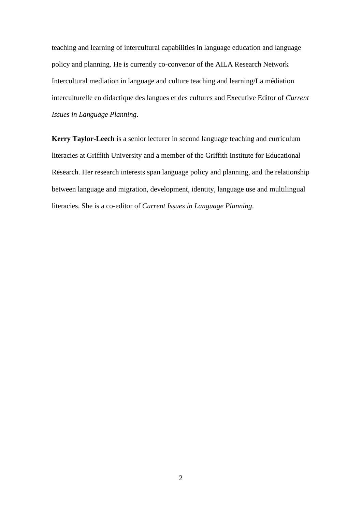teaching and learning of intercultural capabilities in language education and language policy and planning. He is currently co-convenor of the AILA Research Network Intercultural mediation in language and culture teaching and learning/La médiation interculturelle en didactique des langues et des cultures and Executive Editor of *Current Issues in Language Planning*.

**Kerry Taylor-Leech** is a senior lecturer in second language teaching and curriculum literacies at Griffith University and a member of the Griffith Institute for Educational Research. Her research interests span language policy and planning, and the relationship between language and migration, development, identity, language use and multilingual literacies. She is a co-editor of *Current Issues in Language Planning*.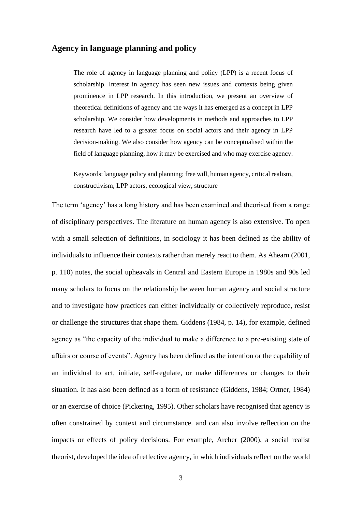### **Agency in language planning and policy**

The role of agency in language planning and policy (LPP) is a recent focus of scholarship. Interest in agency has seen new issues and contexts being given prominence in LPP research. In this introduction, we present an overview of theoretical definitions of agency and the ways it has emerged as a concept in LPP scholarship. We consider how developments in methods and approaches to LPP research have led to a greater focus on social actors and their agency in LPP decision-making. We also consider how agency can be conceptualised within the field of language planning, how it may be exercised and who may exercise agency.

Keywords: language policy and planning; free will, human agency, critical realism, constructivism, LPP actors, ecological view, structure

The term 'agency' has a long history and has been examined and theorised from a range of disciplinary perspectives. The literature on human agency is also extensive. To open with a small selection of definitions, in sociology it has been defined as the ability of individuals to influence their contexts rather than merely react to them. As Ahearn (2001, p. 110) notes, the social upheavals in Central and Eastern Europe in 1980s and 90s led many scholars to focus on the relationship between human agency and social structure and to investigate how practices can either individually or collectively reproduce, resist or challenge the structures that shape them. Giddens (1984, p. 14), for example, defined agency as "the capacity of the individual to make a difference to a pre-existing state of affairs or course of events". Agency has been defined as the intention or the capability of an individual to act, initiate, self-regulate, or make differences or changes to their situation. It has also been defined as a form of resistance (Giddens, 1984; Ortner, 1984) or an exercise of choice (Pickering, 1995). Other scholars have recognised that agency is often constrained by context and circumstance. and can also involve reflection on the impacts or effects of policy decisions. For example, Archer (2000), a social realist theorist, developed the idea of reflective agency, in which individuals reflect on the world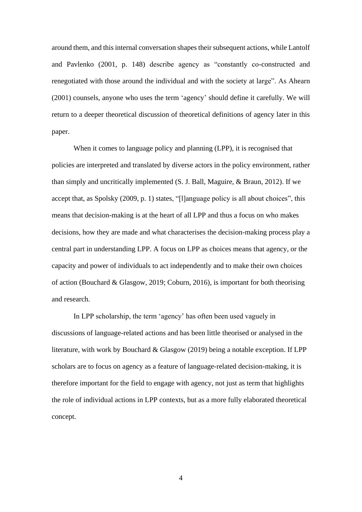around them, and this internal conversation shapes their subsequent actions, while Lantolf and Pavlenko (2001, p. 148) describe agency as "constantly co-constructed and renegotiated with those around the individual and with the society at large". As Ahearn (2001) counsels, anyone who uses the term 'agency' should define it carefully. We will return to a deeper theoretical discussion of theoretical definitions of agency later in this paper.

When it comes to language policy and planning (LPP), it is recognised that policies are interpreted and translated by diverse actors in the policy environment, rather than simply and uncritically implemented (S. J. Ball, Maguire, & Braun, 2012). If we accept that, as Spolsky (2009, p. 1) states, "[l]anguage policy is all about choices", this means that decision-making is at the heart of all LPP and thus a focus on who makes decisions, how they are made and what characterises the decision-making process play a central part in understanding LPP. A focus on LPP as choices means that agency, or the capacity and power of individuals to act independently and to make their own choices of action (Bouchard & Glasgow, 2019; Coburn, 2016), is important for both theorising and research.

In LPP scholarship, the term 'agency' has often been used vaguely in discussions of language-related actions and has been little theorised or analysed in the literature, with work by Bouchard & Glasgow (2019) being a notable exception. If LPP scholars are to focus on agency as a feature of language-related decision-making, it is therefore important for the field to engage with agency, not just as term that highlights the role of individual actions in LPP contexts, but as a more fully elaborated theoretical concept.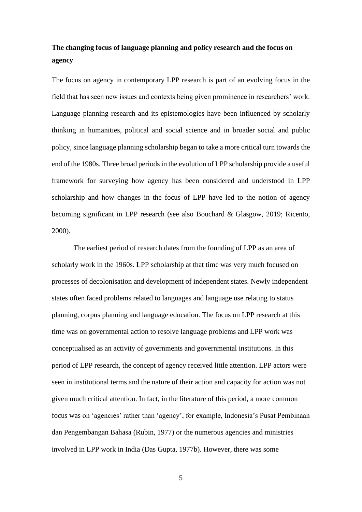# **The changing focus of language planning and policy research and the focus on agency**

The focus on agency in contemporary LPP research is part of an evolving focus in the field that has seen new issues and contexts being given prominence in researchers' work. Language planning research and its epistemologies have been influenced by scholarly thinking in humanities, political and social science and in broader social and public policy, since language planning scholarship began to take a more critical turn towards the end of the 1980s. Three broad periods in the evolution of LPP scholarship provide a useful framework for surveying how agency has been considered and understood in LPP scholarship and how changes in the focus of LPP have led to the notion of agency becoming significant in LPP research (see also Bouchard & Glasgow, 2019; Ricento, 2000).

The earliest period of research dates from the founding of LPP as an area of scholarly work in the 1960s. LPP scholarship at that time was very much focused on processes of decolonisation and development of independent states. Newly independent states often faced problems related to languages and language use relating to status planning, corpus planning and language education. The focus on LPP research at this time was on governmental action to resolve language problems and LPP work was conceptualised as an activity of governments and governmental institutions. In this period of LPP research, the concept of agency received little attention. LPP actors were seen in institutional terms and the nature of their action and capacity for action was not given much critical attention. In fact, in the literature of this period, a more common focus was on 'agencies' rather than 'agency', for example, Indonesia's Pusat Pembinaan dan Pengembangan Bahasa (Rubin, 1977) or the numerous agencies and ministries involved in LPP work in India (Das Gupta, 1977b). However, there was some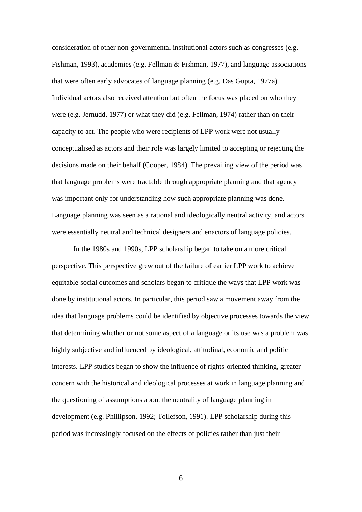consideration of other non-governmental institutional actors such as congresses (e.g. Fishman, 1993), academies (e.g. Fellman & Fishman, 1977), and language associations that were often early advocates of language planning (e.g. Das Gupta, 1977a). Individual actors also received attention but often the focus was placed on who they were (e.g. Jernudd, 1977) or what they did (e.g. Fellman, 1974) rather than on their capacity to act. The people who were recipients of LPP work were not usually conceptualised as actors and their role was largely limited to accepting or rejecting the decisions made on their behalf (Cooper, 1984). The prevailing view of the period was that language problems were tractable through appropriate planning and that agency was important only for understanding how such appropriate planning was done. Language planning was seen as a rational and ideologically neutral activity, and actors were essentially neutral and technical designers and enactors of language policies.

In the 1980s and 1990s, LPP scholarship began to take on a more critical perspective. This perspective grew out of the failure of earlier LPP work to achieve equitable social outcomes and scholars began to critique the ways that LPP work was done by institutional actors. In particular, this period saw a movement away from the idea that language problems could be identified by objective processes towards the view that determining whether or not some aspect of a language or its use was a problem was highly subjective and influenced by ideological, attitudinal, economic and politic interests. LPP studies began to show the influence of rights-oriented thinking, greater concern with the historical and ideological processes at work in language planning and the questioning of assumptions about the neutrality of language planning in development (e.g. Phillipson, 1992; Tollefson, 1991). LPP scholarship during this period was increasingly focused on the effects of policies rather than just their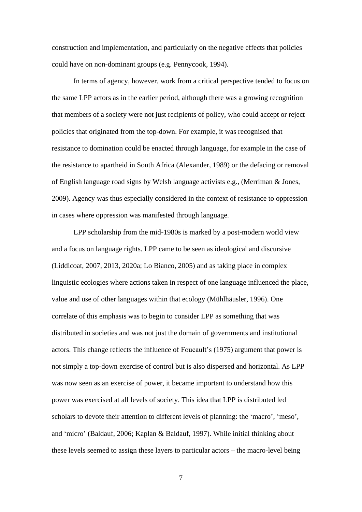construction and implementation, and particularly on the negative effects that policies could have on non-dominant groups (e.g. Pennycook, 1994).

In terms of agency, however, work from a critical perspective tended to focus on the same LPP actors as in the earlier period, although there was a growing recognition that members of a society were not just recipients of policy, who could accept or reject policies that originated from the top-down. For example, it was recognised that resistance to domination could be enacted through language, for example in the case of the resistance to apartheid in South Africa (Alexander, 1989) or the defacing or removal of English language road signs by Welsh language activists e.g., (Merriman & Jones, 2009). Agency was thus especially considered in the context of resistance to oppression in cases where oppression was manifested through language.

LPP scholarship from the mid-1980s is marked by a post-modern world view and a focus on language rights. LPP came to be seen as ideological and discursive (Liddicoat, 2007, 2013, 2020a; Lo Bianco, 2005) and as taking place in complex linguistic ecologies where actions taken in respect of one language influenced the place, value and use of other languages within that ecology (Mühlhäusler, 1996). One correlate of this emphasis was to begin to consider LPP as something that was distributed in societies and was not just the domain of governments and institutional actors. This change reflects the influence of Foucault's (1975) argument that power is not simply a top-down exercise of control but is also dispersed and horizontal. As LPP was now seen as an exercise of power, it became important to understand how this power was exercised at all levels of society. This idea that LPP is distributed led scholars to devote their attention to different levels of planning: the 'macro', 'meso', and 'micro' (Baldauf, 2006; Kaplan & Baldauf, 1997). While initial thinking about these levels seemed to assign these layers to particular actors – the macro-level being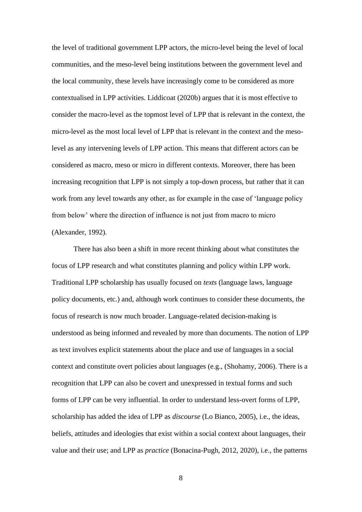the level of traditional government LPP actors, the micro-level being the level of local communities, and the meso-level being institutions between the government level and the local community, these levels have increasingly come to be considered as more contextualised in LPP activities. Liddicoat (2020b) argues that it is most effective to consider the macro-level as the topmost level of LPP that is relevant in the context, the micro-level as the most local level of LPP that is relevant in the context and the mesolevel as any intervening levels of LPP action. This means that different actors can be considered as macro, meso or micro in different contexts. Moreover, there has been increasing recognition that LPP is not simply a top-down process, but rather that it can work from any level towards any other, as for example in the case of 'language policy from below' where the direction of influence is not just from macro to micro (Alexander, 1992).

There has also been a shift in more recent thinking about what constitutes the focus of LPP research and what constitutes planning and policy within LPP work. Traditional LPP scholarship has usually focused on *texts* (language laws, language policy documents, etc.) and, although work continues to consider these documents, the focus of research is now much broader. Language-related decision-making is understood as being informed and revealed by more than documents. The notion of LPP as text involves explicit statements about the place and use of languages in a social context and constitute overt policies about languages (e.g., (Shohamy, 2006). There is a recognition that LPP can also be covert and unexpressed in textual forms and such forms of LPP can be very influential. In order to understand less-overt forms of LPP, scholarship has added the idea of LPP as *discourse* (Lo Bianco, 2005), i.e., the ideas, beliefs, attitudes and ideologies that exist within a social context about languages, their value and their use; and LPP as *practice* (Bonacina-Pugh, 2012, 2020), i.e., the patterns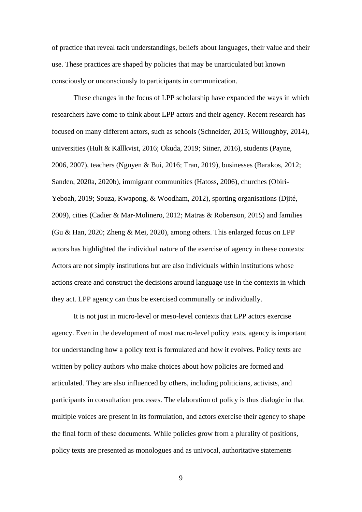of practice that reveal tacit understandings, beliefs about languages, their value and their use. These practices are shaped by policies that may be unarticulated but known consciously or unconsciously to participants in communication.

These changes in the focus of LPP scholarship have expanded the ways in which researchers have come to think about LPP actors and their agency. Recent research has focused on many different actors, such as schools (Schneider, 2015; Willoughby, 2014), universities (Hult & Källkvist, 2016; Okuda, 2019; Siiner, 2016), students (Payne, 2006, 2007), teachers (Nguyen & Bui, 2016; Tran, 2019), businesses (Barakos, 2012; Sanden, 2020a, 2020b), immigrant communities (Hatoss, 2006), churches (Obiri-Yeboah, 2019; Souza, Kwapong, & Woodham, 2012), sporting organisations (Djité, 2009), cities (Cadier & Mar-Molinero, 2012; Matras & Robertson, 2015) and families (Gu & Han, 2020; Zheng & Mei, 2020), among others. This enlarged focus on LPP actors has highlighted the individual nature of the exercise of agency in these contexts: Actors are not simply institutions but are also individuals within institutions whose actions create and construct the decisions around language use in the contexts in which they act. LPP agency can thus be exercised communally or individually.

It is not just in micro-level or meso-level contexts that LPP actors exercise agency. Even in the development of most macro-level policy texts, agency is important for understanding how a policy text is formulated and how it evolves. Policy texts are written by policy authors who make choices about how policies are formed and articulated. They are also influenced by others, including politicians, activists, and participants in consultation processes. The elaboration of policy is thus dialogic in that multiple voices are present in its formulation, and actors exercise their agency to shape the final form of these documents. While policies grow from a plurality of positions, policy texts are presented as monologues and as univocal, authoritative statements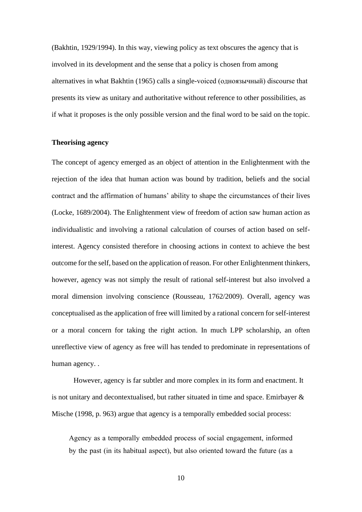(Bakhtin, 1929/1994). In this way, viewing policy as text obscures the agency that is involved in its development and the sense that a policy is chosen from among alternatives in what Bakhtin (1965) calls a single-voiced (одноязычный) discourse that presents its view as unitary and authoritative without reference to other possibilities, as if what it proposes is the only possible version and the final word to be said on the topic.

#### **Theorising agency**

The concept of agency emerged as an object of attention in the Enlightenment with the rejection of the idea that human action was bound by tradition, beliefs and the social contract and the affirmation of humans' ability to shape the circumstances of their lives (Locke, 1689/2004). The Enlightenment view of freedom of action saw human action as individualistic and involving a rational calculation of courses of action based on selfinterest. Agency consisted therefore in choosing actions in context to achieve the best outcome for the self, based on the application of reason. For other Enlightenment thinkers, however, agency was not simply the result of rational self-interest but also involved a moral dimension involving conscience (Rousseau, 1762/2009). Overall, agency was conceptualised as the application of free will limited by a rational concern for self-interest or a moral concern for taking the right action. In much LPP scholarship, an often unreflective view of agency as free will has tended to predominate in representations of human agency. .

However, agency is far subtler and more complex in its form and enactment. It is not unitary and decontextualised, but rather situated in time and space. Emirbayer  $\&$ Mische (1998, p. 963) argue that agency is a temporally embedded social process:

Agency as a temporally embedded process of social engagement, informed by the past (in its habitual aspect), but also oriented toward the future (as a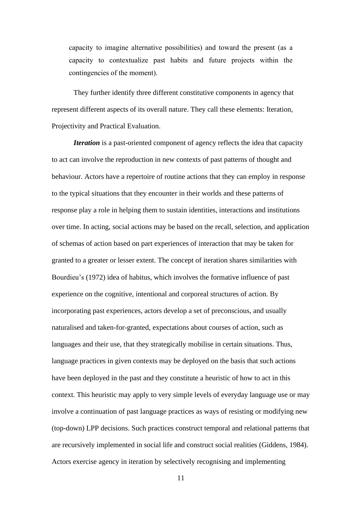capacity to imagine alternative possibilities) and toward the present (as a capacity to contextualize past habits and future projects within the contingencies of the moment).

They further identify three different constitutive components in agency that represent different aspects of its overall nature. They call these elements: Iteration, Projectivity and Practical Evaluation.

*Iteration* is a past-oriented component of agency reflects the idea that capacity to act can involve the reproduction in new contexts of past patterns of thought and behaviour. Actors have a repertoire of routine actions that they can employ in response to the typical situations that they encounter in their worlds and these patterns of response play a role in helping them to sustain identities, interactions and institutions over time. In acting, social actions may be based on the recall, selection, and application of schemas of action based on part experiences of interaction that may be taken for granted to a greater or lesser extent. The concept of iteration shares similarities with Bourdieu's (1972) idea of habitus, which involves the formative influence of past experience on the cognitive, intentional and corporeal structures of action. By incorporating past experiences, actors develop a set of preconscious, and usually naturalised and taken-for-granted, expectations about courses of action, such as languages and their use, that they strategically mobilise in certain situations. Thus, language practices in given contexts may be deployed on the basis that such actions have been deployed in the past and they constitute a heuristic of how to act in this context. This heuristic may apply to very simple levels of everyday language use or may involve a continuation of past language practices as ways of resisting or modifying new (top-down) LPP decisions. Such practices construct temporal and relational patterns that are recursively implemented in social life and construct social realities (Giddens, 1984). Actors exercise agency in iteration by selectively recognising and implementing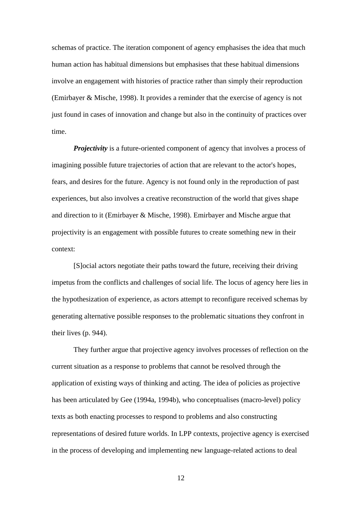schemas of practice. The iteration component of agency emphasises the idea that much human action has habitual dimensions but emphasises that these habitual dimensions involve an engagement with histories of practice rather than simply their reproduction (Emirbayer & Mische, 1998). It provides a reminder that the exercise of agency is not just found in cases of innovation and change but also in the continuity of practices over time.

*Projectivity* is a future-oriented component of agency that involves a process of imagining possible future trajectories of action that are relevant to the actor's hopes, fears, and desires for the future. Agency is not found only in the reproduction of past experiences, but also involves a creative reconstruction of the world that gives shape and direction to it (Emirbayer & Mische, 1998). Emirbayer and Mische argue that projectivity is an engagement with possible futures to create something new in their context:

[S]ocial actors negotiate their paths toward the future, receiving their driving impetus from the conflicts and challenges of social life. The locus of agency here lies in the hypothesization of experience, as actors attempt to reconfigure received schemas by generating alternative possible responses to the problematic situations they confront in their lives (p. 944).

They further argue that projective agency involves processes of reflection on the current situation as a response to problems that cannot be resolved through the application of existing ways of thinking and acting. The idea of policies as projective has been articulated by Gee (1994a, 1994b), who conceptualises (macro-level) policy texts as both enacting processes to respond to problems and also constructing representations of desired future worlds. In LPP contexts, projective agency is exercised in the process of developing and implementing new language-related actions to deal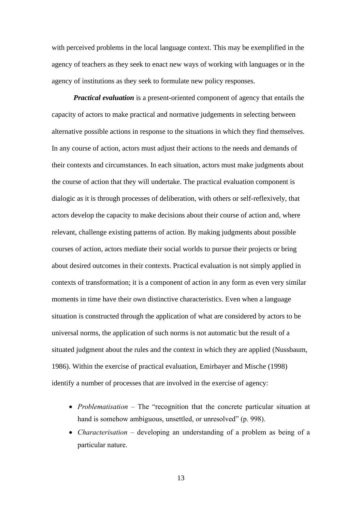with perceived problems in the local language context. This may be exemplified in the agency of teachers as they seek to enact new ways of working with languages or in the agency of institutions as they seek to formulate new policy responses.

*Practical evaluation* is a present-oriented component of agency that entails the capacity of actors to make practical and normative judgements in selecting between alternative possible actions in response to the situations in which they find themselves. In any course of action, actors must adjust their actions to the needs and demands of their contexts and circumstances. In each situation, actors must make judgments about the course of action that they will undertake. The practical evaluation component is dialogic as it is through processes of deliberation, with others or self-reflexively, that actors develop the capacity to make decisions about their course of action and, where relevant, challenge existing patterns of action. By making judgments about possible courses of action, actors mediate their social worlds to pursue their projects or bring about desired outcomes in their contexts. Practical evaluation is not simply applied in contexts of transformation; it is a component of action in any form as even very similar moments in time have their own distinctive characteristics. Even when a language situation is constructed through the application of what are considered by actors to be universal norms, the application of such norms is not automatic but the result of a situated judgment about the rules and the context in which they are applied (Nussbaum, 1986). Within the exercise of practical evaluation, Emirbayer and Mische (1998) identify a number of processes that are involved in the exercise of agency:

- *Problematisation* The "recognition that the concrete particular situation at hand is somehow ambiguous, unsettled, or unresolved" (p. 998).
- *Characterisation* developing an understanding of a problem as being of a particular nature.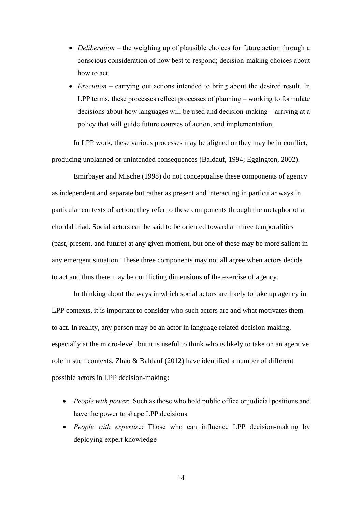- *Deliberation* the weighing up of plausible choices for future action through a conscious consideration of how best to respond; decision-making choices about how to act.
- *Execution* carrying out actions intended to bring about the desired result. In LPP terms, these processes reflect processes of planning – working to formulate decisions about how languages will be used and decision-making – arriving at a policy that will guide future courses of action, and implementation.

In LPP work, these various processes may be aligned or they may be in conflict, producing unplanned or unintended consequences (Baldauf, 1994; Eggington, 2002).

Emirbayer and Mische (1998) do not conceptualise these components of agency as independent and separate but rather as present and interacting in particular ways in particular contexts of action; they refer to these components through the metaphor of a chordal triad. Social actors can be said to be oriented toward all three temporalities (past, present, and future) at any given moment, but one of these may be more salient in any emergent situation. These three components may not all agree when actors decide to act and thus there may be conflicting dimensions of the exercise of agency.

In thinking about the ways in which social actors are likely to take up agency in LPP contexts, it is important to consider who such actors are and what motivates them to act. In reality, any person may be an actor in language related decision-making, especially at the micro-level, but it is useful to think who is likely to take on an agentive role in such contexts. Zhao & Baldauf (2012) have identified a number of different possible actors in LPP decision-making:

- *People with power*: Such as those who hold public office or judicial positions and have the power to shape LPP decisions.
- *People with expertis*e: Those who can influence LPP decision-making by deploying expert knowledge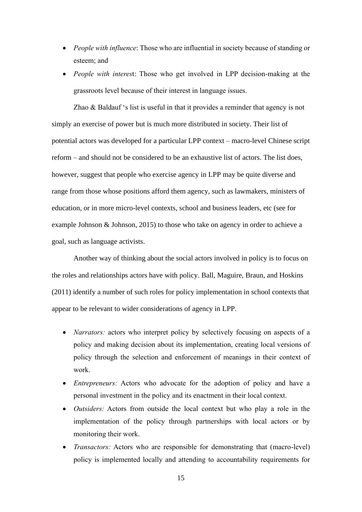- *People with influence*: Those who are influential in society because of standing or esteem; and
- *People with interes*t: Those who get involved in LPP decision-making at the grassroots level because of their interest in language issues.

Zhao & Baldauf 's list is useful in that it provides a reminder that agency is not simply an exercise of power but is much more distributed in society. Their list of potential actors was developed for a particular LPP context – macro-level Chinese script reform – and should not be considered to be an exhaustive list of actors. The list does, however, suggest that people who exercise agency in LPP may be quite diverse and range from those whose positions afford them agency, such as lawmakers, ministers of education, or in more micro-level contexts, school and business leaders, etc (see for example Johnson & Johnson, 2015) to those who take on agency in order to achieve a goal, such as language activists.

Another way of thinking about the social actors involved in policy is to focus on the roles and relationships actors have with policy. Ball, Maguire, Braun, and Hoskins (2011) identify a number of such roles for policy implementation in school contexts that appear to be relevant to wider considerations of agency in LPP.

- *Narrators:* actors who interpret policy by selectively focusing on aspects of a policy and making decision about its implementation, creating local versions of policy through the selection and enforcement of meanings in their context of work.
- *Entrepreneurs:* Actors who advocate for the adoption of policy and have a personal investment in the policy and its enactment in their local context.
- *Outsiders:* Actors from outside the local context but who play a role in the implementation of the policy through partnerships with local actors or by monitoring their work.
- *Transactors:* Actors who are responsible for demonstrating that (macro-level) policy is implemented locally and attending to accountability requirements for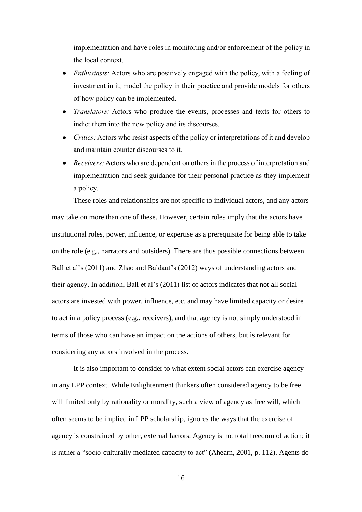implementation and have roles in monitoring and/or enforcement of the policy in the local context.

- *Enthusiasts:* Actors who are positively engaged with the policy, with a feeling of investment in it, model the policy in their practice and provide models for others of how policy can be implemented.
- *Translators:* Actors who produce the events, processes and texts for others to indict them into the new policy and its discourses.
- *Critics:* Actors who resist aspects of the policy or interpretations of it and develop and maintain counter discourses to it.
- *Receivers:* Actors who are dependent on others in the process of interpretation and implementation and seek guidance for their personal practice as they implement a policy.

These roles and relationships are not specific to individual actors, and any actors may take on more than one of these. However, certain roles imply that the actors have institutional roles, power, influence, or expertise as a prerequisite for being able to take on the role (e.g., narrators and outsiders). There are thus possible connections between Ball et al's (2011) and Zhao and Baldauf's (2012) ways of understanding actors and their agency. In addition, Ball et al's (2011) list of actors indicates that not all social actors are invested with power, influence, etc. and may have limited capacity or desire to act in a policy process (e.g., receivers), and that agency is not simply understood in terms of those who can have an impact on the actions of others, but is relevant for considering any actors involved in the process.

It is also important to consider to what extent social actors can exercise agency in any LPP context. While Enlightenment thinkers often considered agency to be free will limited only by rationality or morality, such a view of agency as free will, which often seems to be implied in LPP scholarship, ignores the ways that the exercise of agency is constrained by other, external factors. Agency is not total freedom of action; it is rather a "socio-culturally mediated capacity to act" (Ahearn, 2001, p. 112). Agents do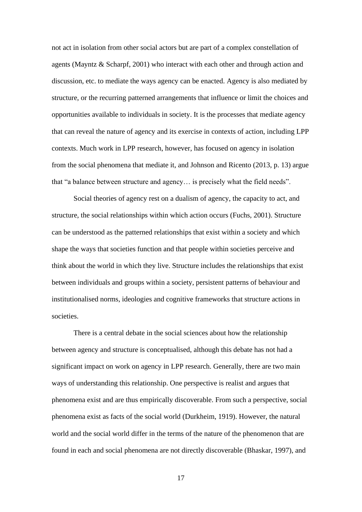not act in isolation from other social actors but are part of a complex constellation of agents (Mayntz & Scharpf, 2001) who interact with each other and through action and discussion, etc. to mediate the ways agency can be enacted. Agency is also mediated by structure, or the recurring patterned arrangements that influence or limit the choices and opportunities available to individuals in society. It is the processes that mediate agency that can reveal the nature of agency and its exercise in contexts of action, including LPP contexts. Much work in LPP research, however, has focused on agency in isolation from the social phenomena that mediate it, and Johnson and Ricento (2013, p. 13) argue that "a balance between structure and agency… is precisely what the field needs".

Social theories of agency rest on a dualism of agency, the capacity to act, and structure, the social relationships within which action occurs (Fuchs, 2001). Structure can be understood as the patterned relationships that exist within a society and which shape the ways that societies function and that people within societies perceive and think about the world in which they live. Structure includes the relationships that exist between individuals and groups within a society, persistent patterns of behaviour and institutionalised norms, ideologies and cognitive frameworks that structure actions in societies.

There is a central debate in the social sciences about how the relationship between agency and structure is conceptualised, although this debate has not had a significant impact on work on agency in LPP research. Generally, there are two main ways of understanding this relationship. One perspective is realist and argues that phenomena exist and are thus empirically discoverable. From such a perspective, social phenomena exist as facts of the social world (Durkheim, 1919). However, the natural world and the social world differ in the terms of the nature of the phenomenon that are found in each and social phenomena are not directly discoverable (Bhaskar, 1997), and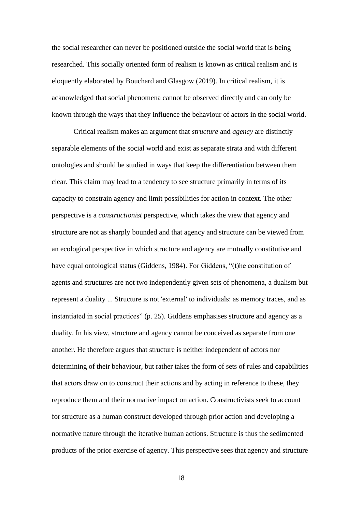the social researcher can never be positioned outside the social world that is being researched. This socially oriented form of realism is known as critical realism and is eloquently elaborated by Bouchard and Glasgow (2019). In critical realism, it is acknowledged that social phenomena cannot be observed directly and can only be known through the ways that they influence the behaviour of actors in the social world.

Critical realism makes an argument that *structure* and *agency* are distinctly separable elements of the social world and exist as separate strata and with different ontologies and should be studied in ways that keep the differentiation between them clear. This claim may lead to a tendency to see structure primarily in terms of its capacity to constrain agency and limit possibilities for action in context. The other perspective is a *constructionist* perspective, which takes the view that agency and structure are not as sharply bounded and that agency and structure can be viewed from an ecological perspective in which structure and agency are mutually constitutive and have equal ontological status (Giddens, 1984). For Giddens, "(t)he constitution of agents and structures are not two independently given sets of phenomena, a dualism but represent a duality ... Structure is not 'external' to individuals: as memory traces, and as instantiated in social practices" (p. 25). Giddens emphasises structure and agency as a duality. In his view, structure and agency cannot be conceived as separate from one another. He therefore argues that structure is neither independent of actors nor determining of their behaviour, but rather takes the form of sets of rules and capabilities that actors draw on to construct their actions and by acting in reference to these, they reproduce them and their normative impact on action. Constructivists seek to account for structure as a human construct developed through prior action and developing a normative nature through the iterative human actions. Structure is thus the sedimented products of the prior exercise of agency. This perspective sees that agency and structure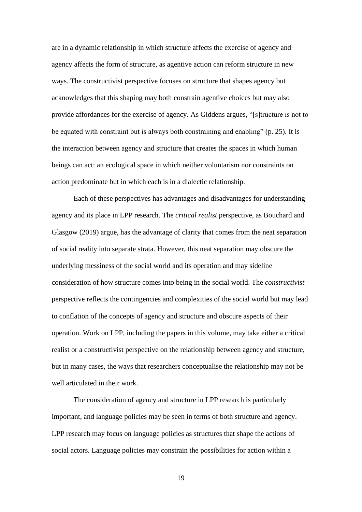are in a dynamic relationship in which structure affects the exercise of agency and agency affects the form of structure, as agentive action can reform structure in new ways. The constructivist perspective focuses on structure that shapes agency but acknowledges that this shaping may both constrain agentive choices but may also provide affordances for the exercise of agency. As Giddens argues, "[s]tructure is not to be equated with constraint but is always both constraining and enabling" (p. 25). It is the interaction between agency and structure that creates the spaces in which human beings can act: an ecological space in which neither voluntarism nor constraints on action predominate but in which each is in a dialectic relationship.

Each of these perspectives has advantages and disadvantages for understanding agency and its place in LPP research. The *critical realist* perspective, as Bouchard and Glasgow (2019) argue, has the advantage of clarity that comes from the neat separation of social reality into separate strata. However, this neat separation may obscure the underlying messiness of the social world and its operation and may sideline consideration of how structure comes into being in the social world. The *constructivist* perspective reflects the contingencies and complexities of the social world but may lead to conflation of the concepts of agency and structure and obscure aspects of their operation. Work on LPP, including the papers in this volume, may take either a critical realist or a constructivist perspective on the relationship between agency and structure, but in many cases, the ways that researchers conceptualise the relationship may not be well articulated in their work.

The consideration of agency and structure in LPP research is particularly important, and language policies may be seen in terms of both structure and agency. LPP research may focus on language policies as structures that shape the actions of social actors. Language policies may constrain the possibilities for action within a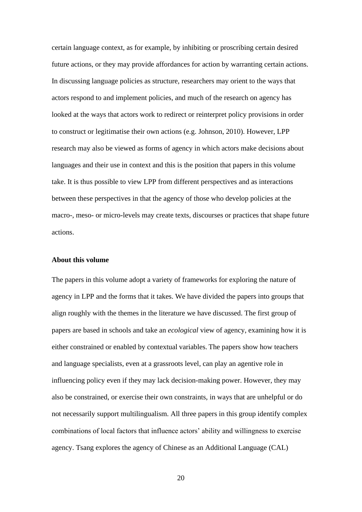certain language context, as for example, by inhibiting or proscribing certain desired future actions, or they may provide affordances for action by warranting certain actions. In discussing language policies as structure, researchers may orient to the ways that actors respond to and implement policies, and much of the research on agency has looked at the ways that actors work to redirect or reinterpret policy provisions in order to construct or legitimatise their own actions (e.g. Johnson, 2010). However, LPP research may also be viewed as forms of agency in which actors make decisions about languages and their use in context and this is the position that papers in this volume take. It is thus possible to view LPP from different perspectives and as interactions between these perspectives in that the agency of those who develop policies at the macro-, meso- or micro-levels may create texts, discourses or practices that shape future actions.

#### **About this volume**

The papers in this volume adopt a variety of frameworks for exploring the nature of agency in LPP and the forms that it takes. We have divided the papers into groups that align roughly with the themes in the literature we have discussed. The first group of papers are based in schools and take an *ecological* view of agency, examining how it is either constrained or enabled by contextual variables. The papers show how teachers and language specialists, even at a grassroots level, can play an agentive role in influencing policy even if they may lack decision-making power. However, they may also be constrained, or exercise their own constraints, in ways that are unhelpful or do not necessarily support multilingualism. All three papers in this group identify complex combinations of local factors that influence actors' ability and willingness to exercise agency. Tsang explores the agency of Chinese as an Additional Language (CAL)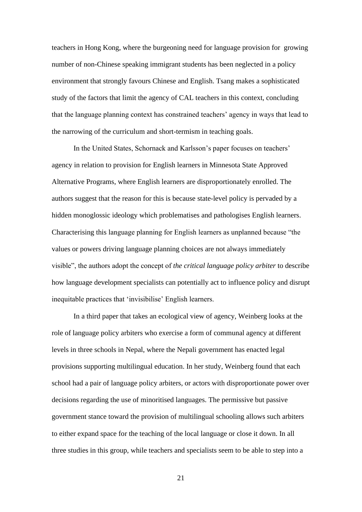teachers in Hong Kong, where the burgeoning need for language provision for growing number of non-Chinese speaking immigrant students has been neglected in a policy environment that strongly favours Chinese and English. Tsang makes a sophisticated study of the factors that limit the agency of CAL teachers in this context, concluding that the language planning context has constrained teachers' agency in ways that lead to the narrowing of the curriculum and short-termism in teaching goals.

In the United States, Schornack and Karlsson's paper focuses on teachers' agency in relation to provision for English learners in Minnesota State Approved Alternative Programs, where English learners are disproportionately enrolled. The authors suggest that the reason for this is because state-level policy is pervaded by a hidden monoglossic ideology which problematises and pathologises English learners. Characterising this language planning for English learners as unplanned because "the values or powers driving language planning choices are not always immediately visible", the authors adopt the concept of *the critical language policy arbiter* to describe how language development specialists can potentially act to influence policy and disrupt inequitable practices that 'invisibilise' English learners.

In a third paper that takes an ecological view of agency, Weinberg looks at the role of language policy arbiters who exercise a form of communal agency at different levels in three schools in Nepal, where the Nepali government has enacted legal provisions supporting multilingual education. In her study, Weinberg found that each school had a pair of language policy arbiters, or actors with disproportionate power over decisions regarding the use of minoritised languages. The permissive but passive government stance toward the provision of multilingual schooling allows such arbiters to either expand space for the teaching of the local language or close it down. In all three studies in this group, while teachers and specialists seem to be able to step into a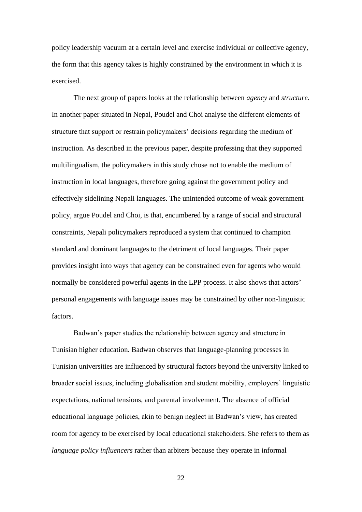policy leadership vacuum at a certain level and exercise individual or collective agency, the form that this agency takes is highly constrained by the environment in which it is exercised.

The next group of papers looks at the relationship between *agency* and *structure*. In another paper situated in Nepal, Poudel and Choi analyse the different elements of structure that support or restrain policymakers' decisions regarding the medium of instruction. As described in the previous paper, despite professing that they supported multilingualism, the policymakers in this study chose not to enable the medium of instruction in local languages, therefore going against the government policy and effectively sidelining Nepali languages. The unintended outcome of weak government policy, argue Poudel and Choi, is that, encumbered by a range of social and structural constraints, Nepali policymakers reproduced a system that continued to champion standard and dominant languages to the detriment of local languages. Their paper provides insight into ways that agency can be constrained even for agents who would normally be considered powerful agents in the LPP process. It also shows that actors' personal engagements with language issues may be constrained by other non-linguistic factors.

Badwan's paper studies the relationship between agency and structure in Tunisian higher education. Badwan observes that language-planning processes in Tunisian universities are influenced by structural factors beyond the university linked to broader social issues, including globalisation and student mobility, employers' linguistic expectations, national tensions, and parental involvement. The absence of official educational language policies, akin to benign neglect in Badwan's view, has created room for agency to be exercised by local educational stakeholders. She refers to them as *language policy influencers* rather than arbiters because they operate in informal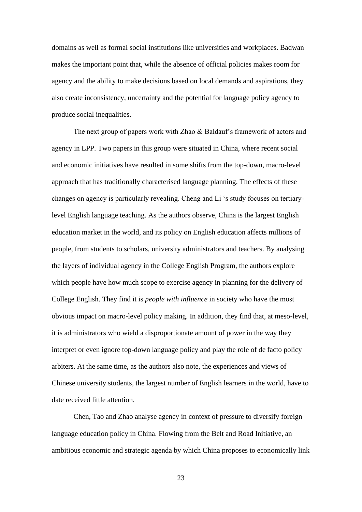domains as well as formal social institutions like universities and workplaces. Badwan makes the important point that, while the absence of official policies makes room for agency and the ability to make decisions based on local demands and aspirations, they also create inconsistency, uncertainty and the potential for language policy agency to produce social inequalities.

The next group of papers work with Zhao & Baldauf's framework of actors and agency in LPP. Two papers in this group were situated in China, where recent social and economic initiatives have resulted in some shifts from the top-down, macro-level approach that has traditionally characterised language planning. The effects of these changes on agency is particularly revealing. Cheng and Li 's study focuses on tertiarylevel English language teaching. As the authors observe, China is the largest English education market in the world, and its policy on English education affects millions of people, from students to scholars, university administrators and teachers. By analysing the layers of individual agency in the College English Program, the authors explore which people have how much scope to exercise agency in planning for the delivery of College English. They find it is *people with influence* in society who have the most obvious impact on macro-level policy making. In addition, they find that, at meso-level, it is administrators who wield a disproportionate amount of power in the way they interpret or even ignore top-down language policy and play the role of de facto policy arbiters. At the same time, as the authors also note, the experiences and views of Chinese university students, the largest number of English learners in the world, have to date received little attention.

Chen, Tao and Zhao analyse agency in context of pressure to diversify foreign language education policy in China. Flowing from the Belt and Road Initiative, an ambitious economic and strategic agenda by which China proposes to economically link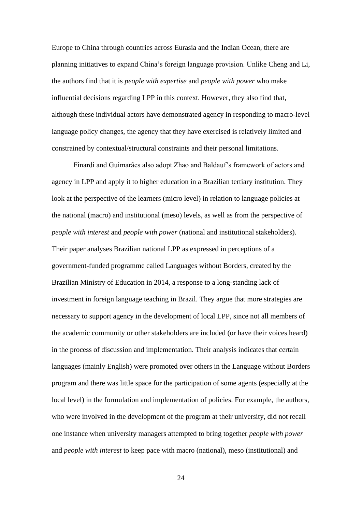Europe to China through countries across Eurasia and the Indian Ocean, there are planning initiatives to expand China's foreign language provision. Unlike Cheng and Li, the authors find that it is *people with expertise* and *people with power* who make influential decisions regarding LPP in this context. However, they also find that, although these individual actors have demonstrated agency in responding to macro-level language policy changes, the agency that they have exercised is relatively limited and constrained by contextual/structural constraints and their personal limitations.

Finardi and Guimarães also adopt Zhao and Baldauf's framework of actors and agency in LPP and apply it to higher education in a Brazilian tertiary institution. They look at the perspective of the learners (micro level) in relation to language policies at the national (macro) and institutional (meso) levels, as well as from the perspective of *people with interest* and *people with power* (national and institutional stakeholders). Their paper analyses Brazilian national LPP as expressed in perceptions of a government-funded programme called Languages without Borders, created by the Brazilian Ministry of Education in 2014, a response to a long-standing lack of investment in foreign language teaching in Brazil. They argue that more strategies are necessary to support agency in the development of local LPP, since not all members of the academic community or other stakeholders are included (or have their voices heard) in the process of discussion and implementation. Their analysis indicates that certain languages (mainly English) were promoted over others in the Language without Borders program and there was little space for the participation of some agents (especially at the local level) in the formulation and implementation of policies. For example, the authors, who were involved in the development of the program at their university, did not recall one instance when university managers attempted to bring together *people with power*  and *people with interest* to keep pace with macro (national), meso (institutional) and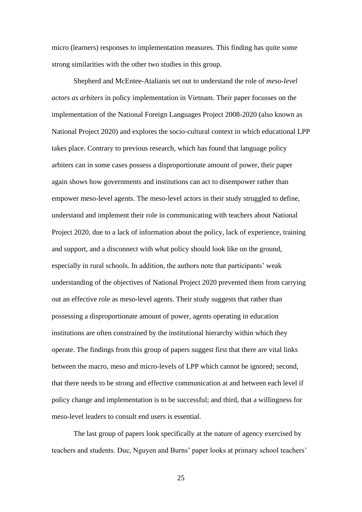micro (learners) responses to implementation measures. This finding has quite some strong similarities with the other two studies in this group.

Shepherd and McEntee-Atalianis set out to understand the role of *meso-level actors as arbiters* in policy implementation in Vietnam. Their paper focusses on the implementation of the National Foreign Languages Project 2008-2020 (also known as National Project 2020) and explores the socio-cultural context in which educational LPP takes place. Contrary to previous research, which has found that language policy arbiters can in some cases possess a disproportionate amount of power, their paper again shows how governments and institutions can act to disempower rather than empower meso-level agents. The meso-level actors in their study struggled to define, understand and implement their role in communicating with teachers about National Project 2020, due to a lack of information about the policy, lack of experience, training and support, and a disconnect with what policy should look like on the ground, especially in rural schools. In addition, the authors note that participants' weak understanding of the objectives of National Project 2020 prevented them from carrying out an effective role as meso-level agents. Their study suggests that rather than possessing a disproportionate amount of power, agents operating in education institutions are often constrained by the institutional hierarchy within which they operate. The findings from this group of papers suggest first that there are vital links between the macro, meso and micro-levels of LPP which cannot be ignored; second, that there needs to be strong and effective communication at and between each level if policy change and implementation is to be successful; and third, that a willingness for meso-level leaders to consult end users is essential.

The last group of papers look specifically at the nature of agency exercised by teachers and students. Duc, Nguyen and Burns' paper looks at primary school teachers'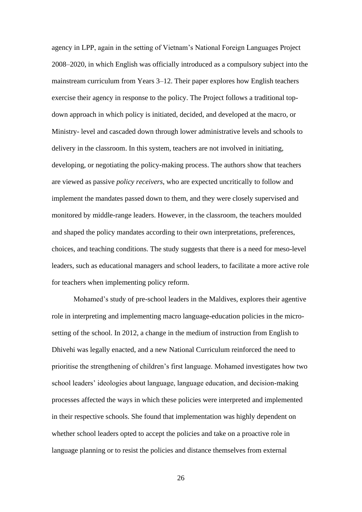agency in LPP, again in the setting of Vietnam's National Foreign Languages Project 2008–2020, in which English was officially introduced as a compulsory subject into the mainstream curriculum from Years 3–12. Their paper explores how English teachers exercise their agency in response to the policy. The Project follows a traditional topdown approach in which policy is initiated, decided, and developed at the macro, or Ministry- level and cascaded down through lower administrative levels and schools to delivery in the classroom. In this system, teachers are not involved in initiating, developing, or negotiating the policy-making process. The authors show that teachers are viewed as passive *policy receivers*, who are expected uncritically to follow and implement the mandates passed down to them, and they were closely supervised and monitored by middle-range leaders. However, in the classroom, the teachers moulded and shaped the policy mandates according to their own interpretations, preferences, choices, and teaching conditions. The study suggests that there is a need for meso-level leaders, such as educational managers and school leaders, to facilitate a more active role for teachers when implementing policy reform.

Mohamed's study of pre-school leaders in the Maldives, explores their agentive role in interpreting and implementing macro language-education policies in the microsetting of the school. In 2012, a change in the medium of instruction from English to Dhivehi was legally enacted, and a new National Curriculum reinforced the need to prioritise the strengthening of children's first language. Mohamed investigates how two school leaders' ideologies about language, language education, and decision-making processes affected the ways in which these policies were interpreted and implemented in their respective schools. She found that implementation was highly dependent on whether school leaders opted to accept the policies and take on a proactive role in language planning or to resist the policies and distance themselves from external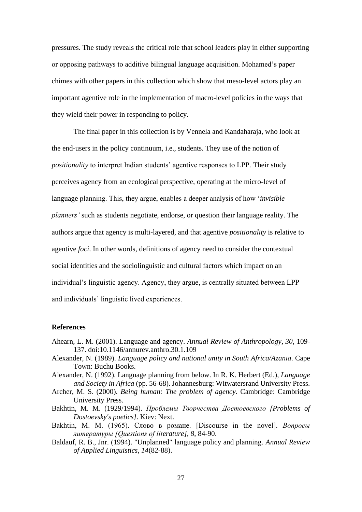pressures. The study reveals the critical role that school leaders play in either supporting or opposing pathways to additive bilingual language acquisition. Mohamed's paper chimes with other papers in this collection which show that meso-level actors play an important agentive role in the implementation of macro-level policies in the ways that they wield their power in responding to policy.

The final paper in this collection is by Vennela and Kandaharaja, who look at the end-users in the policy continuum, i.e., students. They use of the notion of *positionality* to interpret Indian students' agentive responses to LPP. Their study perceives agency from an ecological perspective, operating at the micro-level of language planning. This, they argue, enables a deeper analysis of how '*invisible planners'* such as students negotiate, endorse, or question their language reality. The authors argue that agency is multi-layered, and that agentive *positionality* is relative to agentive *foci*. In other words, definitions of agency need to consider the contextual social identities and the sociolinguistic and cultural factors which impact on an individual's linguistic agency. Agency, they argue, is centrally situated between LPP and individuals' linguistic lived experiences.

#### **References**

- Ahearn, L. M. (2001). Language and agency. *Annual Review of Anthropology, 30*, 109- 137. doi:10.1146/annurev.anthro.30.1.109
- Alexander, N. (1989). *Language policy and national unity in South Africa/Azania*. Cape Town: Buchu Books.
- Alexander, N. (1992). Language planning from below. In R. K. Herbert (Ed.), *Language and Society in Africa* (pp. 56-68). Johannesburg: Witwatersrand University Press.
- Archer, M. S. (2000). *Being human: The problem of agency*. Cambridge: Cambridge University Press.
- Bakhtin, M. M. (1929/1994). *Проблемы Творчества Достоевского [Problems of Dostoevsky's poetics]*. Kiev: Next.
- Bakhtin, M. M. (1965). Слово в романе. [Discourse in the novel]. *Вопросы литературы [Questions of literature], 8*, 84-90.
- Baldauf, R. B., Jnr. (1994). "Unplanned" language policy and planning. *Annual Review of Applied Linguistics, 14*(82-88).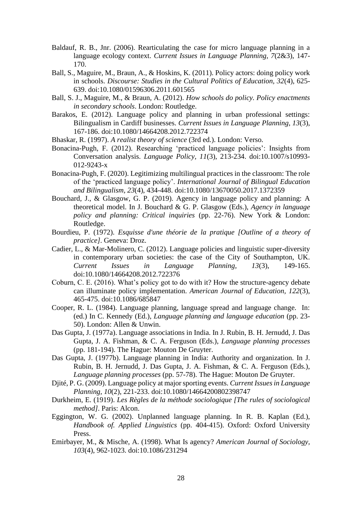- Baldauf, R. B., Jnr. (2006). Rearticulating the case for micro language planning in a language ecology context. *Current Issues in Language Planning, 7*(2&3), 147- 170.
- Ball, S., Maguire, M., Braun, A., & Hoskins, K. (2011). Policy actors: doing policy work in schools. *Discourse: Studies in the Cultural Politics of Education, 32*(4), 625- 639. doi:10.1080/01596306.2011.601565
- Ball, S. J., Maguire, M., & Braun, A. (2012). *How schools do policy. Policy enactments in secondary schools*. London: Routledge.
- Barakos, E. (2012). Language policy and planning in urban professional settings: Bilingualism in Cardiff businesses. *Current Issues in Language Planning, 13*(3), 167-186. doi:10.1080/14664208.2012.722374
- Bhaskar, R. (1997). *A realist theory of science* (3rd ed.). London: Verso.
- Bonacina-Pugh, F. (2012). Researching 'practiced language policies': Insights from Conversation analysis. *Language Policy, 11*(3), 213-234. doi:10.1007/s10993- 012-9243-x
- Bonacina-Pugh, F. (2020). Legitimizing multilingual practices in the classroom: The role of the 'practiced language policy'. *International Journal of Bilingual Education and Bilingualism, 23*(4), 434-448. doi:10.1080/13670050.2017.1372359
- Bouchard, J., & Glasgow, G. P. (2019). Agency in language policy and planning: A theoretical model. In J. Bouchard & G. P. Glasgow (Eds.), *Agency in language policy and planning: Critical inquiries* (pp. 22-76). New York & London: Routledge.
- Bourdieu, P. (1972). *Esquisse d'une théorie de la pratique [Outline of a theory of practice]*. Geneva: Droz.
- Cadier, L., & Mar-Molinero, C. (2012). Language policies and linguistic super-diversity in contemporary urban societies: the case of the City of Southampton, UK. *Current Issues in Language Planning, 13*(3), 149-165. doi:10.1080/14664208.2012.722376
- Coburn, C. E. (2016). What's policy got to do with it? How the structure-agency debate can illuminate policy implementation. *American Journal of Education, 122*(3), 465-475. doi:10.1086/685847
- Cooper, R. L. (1984). Language planning, language spread and language change. In: (ed.) In C. Kennedy (Ed.), *Language planning and language education* (pp. 23- 50). London: Allen & Unwin.
- Das Gupta, J. (1977a). Language associations in India. In J. Rubin, B. H. Jernudd, J. Das Gupta, J. A. Fishman, & C. A. Ferguson (Eds.), *Language planning processes* (pp. 181-194). The Hague: Mouton De Gruyter.
- Das Gupta, J. (1977b). Language planning in India: Authority and organization. In J. Rubin, B. H. Jernudd, J. Das Gupta, J. A. Fishman, & C. A. Ferguson (Eds.), *Language planning processes* (pp. 57-78). The Hague: Mouton De Gruyter.
- Djité, P. G. (2009). Language policy at major sporting events. *Current Issues in Language Planning, 10*(2), 221-233. doi:10.1080/14664200802398747
- Durkheim, E. (1919). *Les Règles de la méthode sociologique [The rules of sociological method]*. Paris: Alcon.
- Eggington, W. G. (2002). Unplanned language planning. In R. B. Kaplan (Ed.), *Handbook of. Applied Linguistics* (pp. 404-415). Oxford: Oxford University Press.
- Emirbayer, M., & Mische, A. (1998). What Is agency? *American Journal of Sociology, 103*(4), 962-1023. doi:10.1086/231294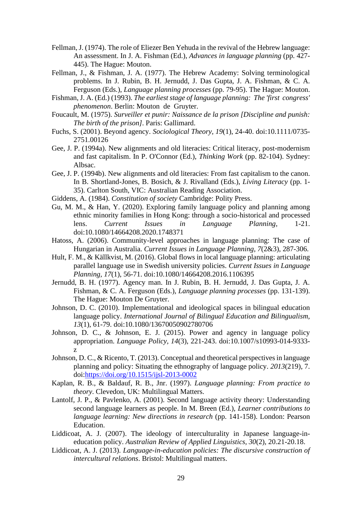- Fellman, J. (1974). The role of Eliezer Ben Yehuda in the revival of the Hebrew language: An assessment. In J. A. Fishman (Ed.), *Advances in language planning* (pp. 427- 445). The Hague: Mouton.
- Fellman, J., & Fishman, J. A. (1977). The Hebrew Academy: Solving terminological problems. In J. Rubin, B. H. Jernudd, J. Das Gupta, J. A. Fishman, & C. A. Ferguson (Eds.), *Language planning processes* (pp. 79-95). The Hague: Mouton.
- Fishman, J. A. (Ed.) (1993). *The earliest stage of language planning: The 'first congress' phenomenon*. Berlin: Mouton de Gruyter.
- Foucault, M. (1975). *Surveiller et punir: Naissance de la prison [Discipline and punish: The birth of the prison]*. Paris: Gallimard.
- Fuchs, S. (2001). Beyond agency. *Sociological Theory, 19*(1), 24-40. doi:10.1111/0735- 2751.00126
- Gee, J. P. (1994a). New alignments and old literacies: Critical literacy, post-modernism and fast capitalism. In P. O'Connor (Ed.), *Thinking Work* (pp. 82-104). Sydney: Albsac.
- Gee, J. P. (1994b). New alignments and old literacies: From fast capitalism to the canon. In B. Shortland-Jones, B. Bosich, & J. Rivalland (Eds.), *Living Literacy* (pp. 1- 35). Carlton South, VIC: Australian Reading Association.
- Giddens, A. (1984). *Constitution of society* Cambridge: Polity Press.
- Gu, M. M., & Han, Y. (2020). Exploring family language policy and planning among ethnic minority families in Hong Kong: through a socio-historical and processed lens. *Current Issues in Language Planning*, 1-21. doi:10.1080/14664208.2020.1748371
- Hatoss, A. (2006). Community-level approaches in language planning: The case of Hungarian in Australia. *Current Issues in Language Planning, 7*(2&3), 287-306.
- Hult, F. M., & Källkvist, M. (2016). Global flows in local language planning: articulating parallel language use in Swedish university policies. *Current Issues in Language Planning, 17*(1), 56-71. doi:10.1080/14664208.2016.1106395
- Jernudd, B. H. (1977). Agency man. In J. Rubin, B. H. Jernudd, J. Das Gupta, J. A. Fishman, & C. A. Ferguson (Eds.), *Language planning processes* (pp. 131-139). The Hague: Mouton De Gruyter.
- Johnson, D. C. (2010). Implementational and ideological spaces in bilingual education language policy. *International Journal of Bilingual Education and Bilingualism, 13*(1), 61-79. doi:10.1080/13670050902780706
- Johnson, D. C., & Johnson, E. J. (2015). Power and agency in language policy appropriation. *Language Policy, 14*(3), 221-243. doi:10.1007/s10993-014-9333 z
- Johnson, D. C., & Ricento, T. (2013). Conceptual and theoretical perspectives in language planning and policy: Situating the ethnography of language policy. *2013*(219), 7. doi[:https://doi.org/10.1515/ijsl-2013-0002](https://doi.org/10.1515/ijsl-2013-0002)
- Kaplan, R. B., & Baldauf, R. B., Jnr. (1997). *Language planning: From practice to theory*. Clevedon, UK: Multilingual Matters.
- Lantolf, J. P., & Pavlenko, A. (2001). Second language activity theory: Understanding second language learners as people. In M. Breen (Ed.), *Learner contributions to language learning: New directions in research* (pp. 141-158). London: Pearson Education.
- Liddicoat, A. J. (2007). The ideology of interculturality in Japanese language-ineducation policy. *Australian Review of Applied Linguistics, 30*(2), 20.21-20.18.
- Liddicoat, A. J. (2013). *Language-in-education policies: The discursive construction of intercultural relations*. Bristol: Multilingual matters.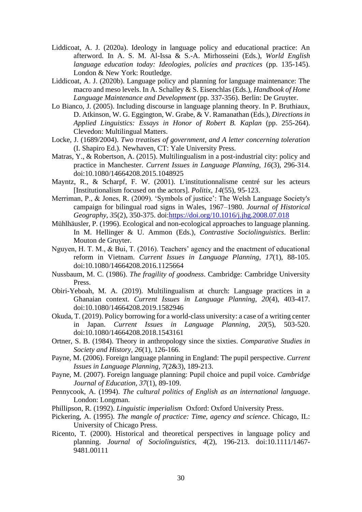- Liddicoat, A. J. (2020a). Ideology in language policy and educational practice: An afterword. In A. S. M. Al-Issa & S.-A. Mirhosseini (Eds.), *World English language education today: Ideologies, policies and practices* (pp. 135-145). London & New York: Routledge.
- Liddicoat, A. J. (2020b). Language policy and planning for language maintenance: The macro and meso levels. In A. Schalley & S. Eisenchlas (Eds.), *Handbook of Home Language Maintenance and Development* (pp. 337-356). Berlin: De Gruyter.
- Lo Bianco, J. (2005). Including discourse in language planning theory. In P. Bruthiaux, D. Atkinson, W. G. Eggington, W. Grabe, & V. Ramanathan (Eds.), *Directions in Applied Linguistics: Essays in Honor of Robert B. Kaplan* (pp. 255-264). Clevedon: Multilingual Matters.
- Locke, J. (1689/2004). *Two treatises of government, and A letter concerning toleration* (I. Shapiro Ed.). Newhaven, CT: Yale University Press.
- Matras, Y., & Robertson, A. (2015). Multilingualism in a post-industrial city: policy and practice in Manchester. *Current Issues in Language Planning, 16*(3), 296-314. doi:10.1080/14664208.2015.1048925
- Mayntz, R., & Scharpf, F. W. (2001). L'institutionnalisme centré sur les acteurs [Institutionalism focused on the actors]. *Politix, 14*(55), 95-123.
- Merriman, P., & Jones, R. (2009). 'Symbols of justice': The Welsh Language Society's campaign for bilingual road signs in Wales, 1967–1980. *Journal of Historical Geography, 35*(2), 350-375. doi[:https://doi.org/10.1016/j.jhg.2008.07.018](https://doi.org/10.1016/j.jhg.2008.07.018)
- Mühlhäusler, P. (1996). Ecological and non-ecological approaches to language planning. In M. Hellinger & U. Ammon (Eds.), *Contrastive Sociolinguistics*. Berlin: Mouton de Gruyter.
- Nguyen, H. T. M., & Bui, T. (2016). Teachers' agency and the enactment of educational reform in Vietnam. *Current Issues in Language Planning, 17*(1), 88-105. doi:10.1080/14664208.2016.1125664
- Nussbaum, M. C. (1986). *The fragility of goodness*. Cambridge: Cambridge University Press.
- Obiri-Yeboah, M. A. (2019). Multilingualism at church: Language practices in a Ghanaian context. *Current Issues in Language Planning, 20*(4), 403-417. doi:10.1080/14664208.2019.1582946
- Okuda, T. (2019). Policy borrowing for a world-class university: a case of a writing center in Japan. *Current Issues in Language Planning, 20*(5), 503-520. doi:10.1080/14664208.2018.1543161
- Ortner, S. B. (1984). Theory in anthropology since the sixties. *Comparative Studies in Society and History, 26*(1), 126-166.
- Payne, M. (2006). Foreign language planning in England: The pupil perspective. *Current Issues in Language Planning, 7*(2&3), 189-213.
- Payne, M. (2007). Foreign language planning: Pupil choice and pupil voice. *Cambridge Journal of Education, 37*(1), 89-109.
- Pennycook, A. (1994). *The cultural politics of English as an international language*. London: Longman.
- Phillipson, R. (1992). *Linguistic imperialism* Oxford: Oxford University Press.
- Pickering, A. (1995). *The mangle of practice: Time, agency and science*. Chicago, IL: University of Chicago Press.
- Ricento, T. (2000). Historical and theoretical perspectives in language policy and planning. *Journal of Sociolinguistics, 4*(2), 196-213. doi:10.1111/1467- 9481.00111